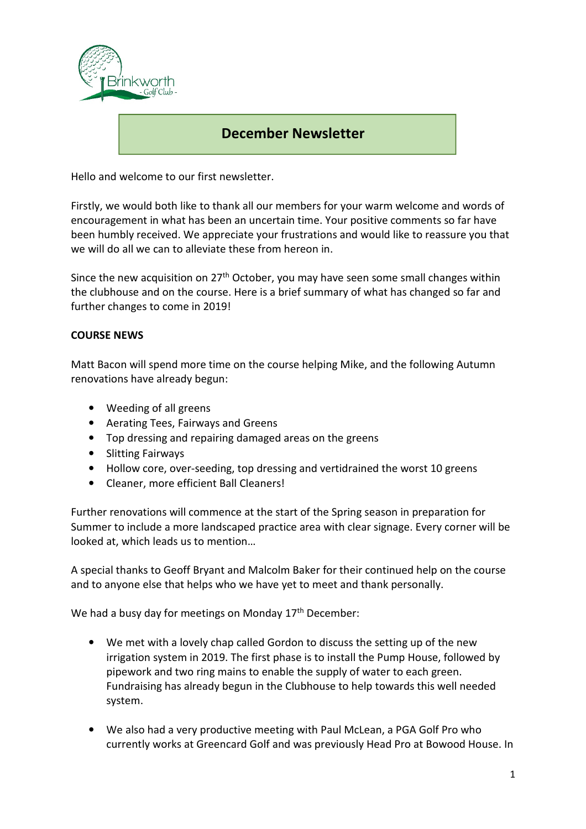

# December Newsletter

Hello and welcome to our first newsletter.

Firstly, we would both like to thank all our members for your warm welcome and words of encouragement in what has been an uncertain time. Your positive comments so far have been humbly received. We appreciate your frustrations and would like to reassure you that we will do all we can to alleviate these from hereon in.

Since the new acquisition on  $27<sup>th</sup>$  October, you may have seen some small changes within the clubhouse and on the course. Here is a brief summary of what has changed so far and further changes to come in 2019!

### COURSE NEWS

Matt Bacon will spend more time on the course helping Mike, and the following Autumn renovations have already begun:

- Weeding of all greens
- Aerating Tees, Fairways and Greens
- Top dressing and repairing damaged areas on the greens
- Slitting Fairways
- Hollow core, over-seeding, top dressing and vertidrained the worst 10 greens
- Cleaner, more efficient Ball Cleaners!

Further renovations will commence at the start of the Spring season in preparation for Summer to include a more landscaped practice area with clear signage. Every corner will be looked at, which leads us to mention…

A special thanks to Geoff Bryant and Malcolm Baker for their continued help on the course and to anyone else that helps who we have yet to meet and thank personally.

We had a busy day for meetings on Monday 17<sup>th</sup> December:

- We met with a lovely chap called Gordon to discuss the setting up of the new irrigation system in 2019. The first phase is to install the Pump House, followed by pipework and two ring mains to enable the supply of water to each green. Fundraising has already begun in the Clubhouse to help towards this well needed system.
- We also had a very productive meeting with Paul McLean, a PGA Golf Pro who currently works at Greencard Golf and was previously Head Pro at Bowood House. In